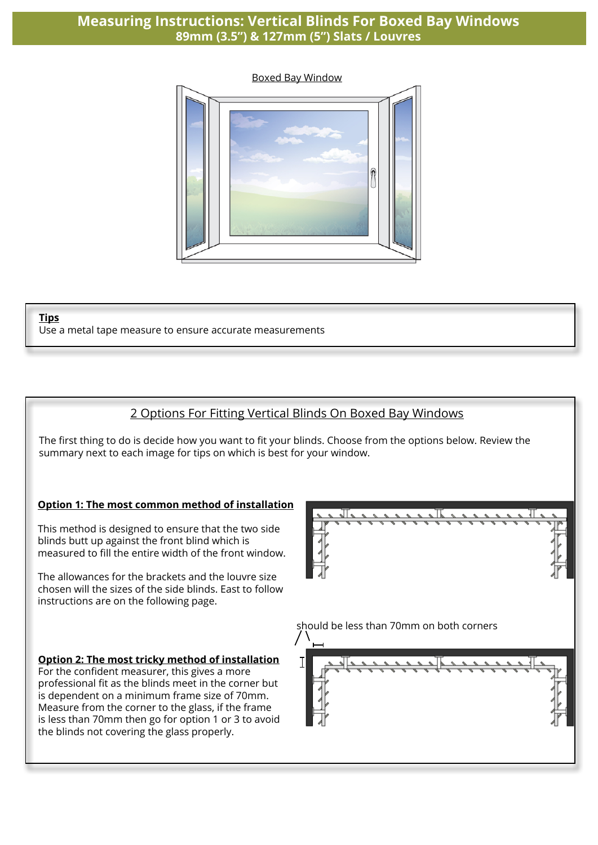## **Measuring Instructions: Vertical Blinds For Boxed Bay Windows 89mm (3.5") & 127mm (5") Slats / Louvres**



#### **Tips**

Use a metal tape measure to ensure accurate measurements

## 2 Options For Fitting Vertical Blinds On Boxed Bay Windows

The first thing to do is decide how you want to fit your blinds. Choose from the options below. Review the summary next to each image for tips on which is best for your window.

#### **Option 1: The most common method of installation**

This method is designed to ensure that the two side blinds butt up against the front blind which is measured to fill the entire width of the front window.

The allowances for the brackets and the louvre size chosen will the sizes of the side blinds. East to follow instructions are on the following page.

#### **Option 2: The most tricky method of installation**

For the confident measurer, this gives a more professional fit as the blinds meet in the corner but is dependent on a minimum frame size of 70mm. Measure from the corner to the glass, if the frame is less than 70mm then go for option 1 or 3 to avoid the blinds not covering the glass properly.



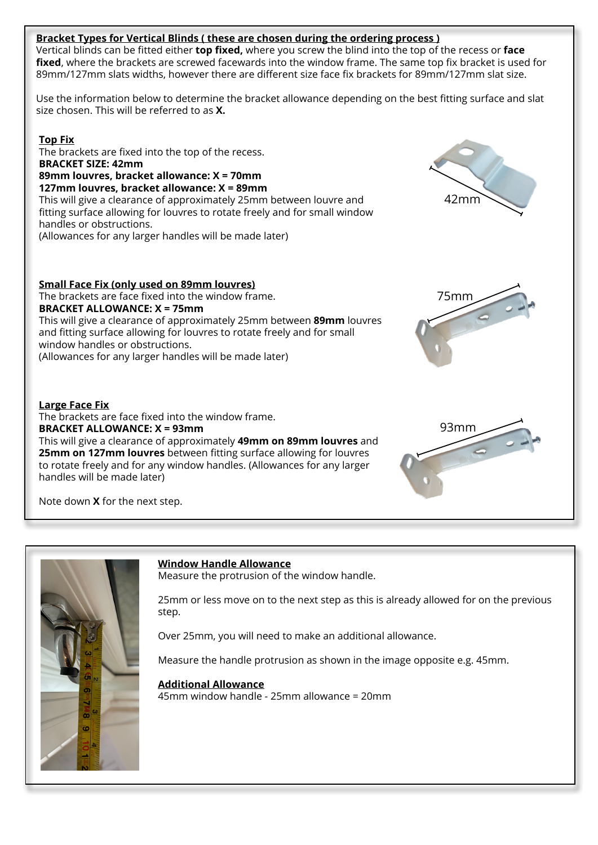### **Bracket Types for Vertical Blinds ( these are chosen during the ordering process )**

Vertical blinds can be fitted either **top fixed,** where you screw the blind into the top of the recess or **face fixed**, where the brackets are screwed facewards into the window frame. The same top fix bracket is used for 89mm/127mm slats widths, however there are different size face fix brackets for 89mm/127mm slat size.

Use the information below to determine the bracket allowance depending on the best fitting surface and slat size chosen. This will be referred to as **X.**

**Top Fix** The brackets are fixed into the top of the recess. **BRACKET SIZE: 42mm 89mm louvres, bracket allowance: X = 70mm 127mm louvres, bracket allowance: X = 89mm** This will give a clearance of approximately 25mm between louvre and fitting surface allowing for louvres to rotate freely and for small window handles or obstructions. (Allowances for any larger handles will be made later)

**Small Face Fix (only used on 89mm louvres)** The brackets are face fixed into the window frame. **BRACKET ALLOWANCE: X = 75mm** This will give a clearance of approximately 25mm between **89mm** louvres and fitting surface allowing for louvres to rotate freely and for small window handles or obstructions. (Allowances for any larger handles will be made later)

#### **Large Face Fix**

The brackets are face fixed into the window frame. **BRACKET ALLOWANCE: X = 93mm** This will give a clearance of approximately **49mm on 89mm louvres** and **25mm on 127mm louvres** between fitting surface allowing for louvres to rotate freely and for any window handles. (Allowances for any larger handles will be made later)



Note down **X** for the next step.



### **Window Handle Allowance**

Measure the protrusion of the window handle.

25mm or less move on to the next step as this is already allowed for on the previous step.

Over 25mm, you will need to make an additional allowance.

Measure the handle protrusion as shown in the image opposite e.g. 45mm.

#### **Additional Allowance**

45mm window handle - 25mm allowance = 20mm